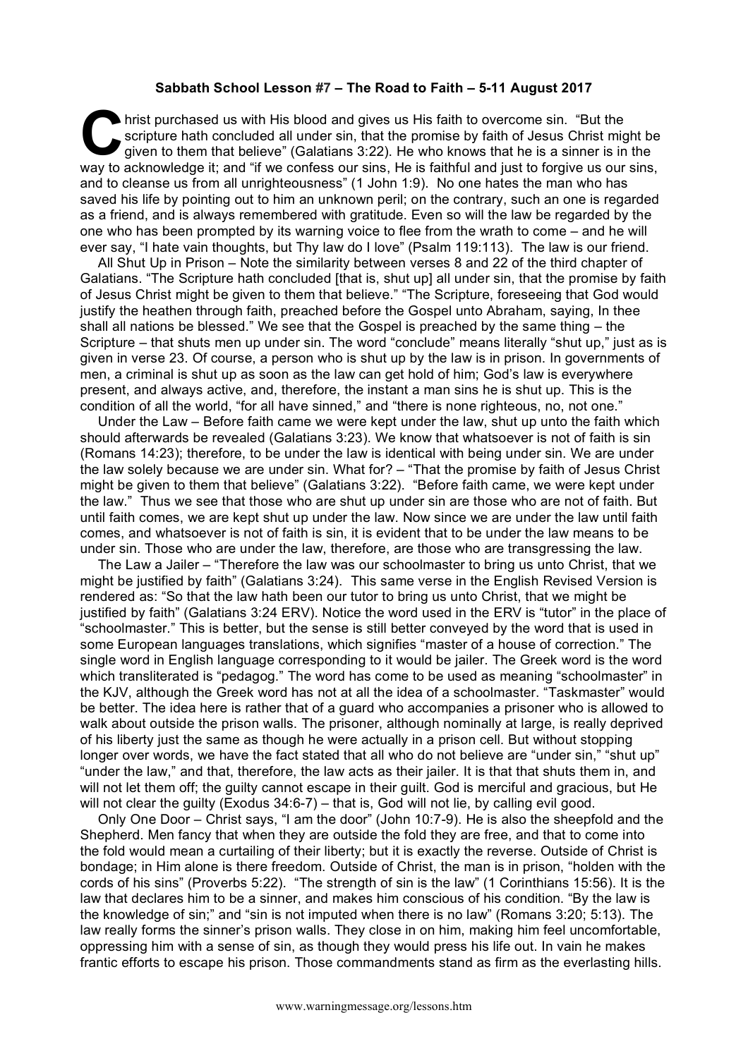## **Sabbath School Lesson #7 – The Road to Faith – 5-11 August 2017**

hrist purchased us with His blood and gives us His faith to overcome sin. "But the scripture hath concluded all under sin, that the promise by faith of Jesus Christ might be given to them that believe" (Galatians 3:22). He who knows that he is a sinner is in the hrist purchased us with His blood and gives us His faith to overcome sin. "But the scripture hath concluded all under sin, that the promise by faith of Jesus Christ might be given to them that believe" (Galatians 3:22). He and to cleanse us from all unrighteousness" (1 John 1:9). No one hates the man who has saved his life by pointing out to him an unknown peril; on the contrary, such an one is regarded as a friend, and is always remembered with gratitude. Even so will the law be regarded by the one who has been prompted by its warning voice to flee from the wrath to come – and he will ever say, "I hate vain thoughts, but Thy law do I love" (Psalm 119:113). The law is our friend.

All Shut Up in Prison – Note the similarity between verses 8 and 22 of the third chapter of Galatians. "The Scripture hath concluded [that is, shut up] all under sin, that the promise by faith of Jesus Christ might be given to them that believe." "The Scripture, foreseeing that God would justify the heathen through faith, preached before the Gospel unto Abraham, saying, In thee shall all nations be blessed." We see that the Gospel is preached by the same thing – the Scripture – that shuts men up under sin. The word "conclude" means literally "shut up," just as is given in verse 23. Of course, a person who is shut up by the law is in prison. In governments of men, a criminal is shut up as soon as the law can get hold of him; God's law is everywhere present, and always active, and, therefore, the instant a man sins he is shut up. This is the condition of all the world, "for all have sinned," and "there is none righteous, no, not one."

Under the Law – Before faith came we were kept under the law, shut up unto the faith which should afterwards be revealed (Galatians 3:23). We know that whatsoever is not of faith is sin (Romans 14:23); therefore, to be under the law is identical with being under sin. We are under the law solely because we are under sin. What for? – "That the promise by faith of Jesus Christ might be given to them that believe" (Galatians 3:22). "Before faith came, we were kept under the law." Thus we see that those who are shut up under sin are those who are not of faith. But until faith comes, we are kept shut up under the law. Now since we are under the law until faith comes, and whatsoever is not of faith is sin, it is evident that to be under the law means to be under sin. Those who are under the law, therefore, are those who are transgressing the law.

The Law a Jailer – "Therefore the law was our schoolmaster to bring us unto Christ, that we might be justified by faith" (Galatians 3:24). This same verse in the English Revised Version is rendered as: "So that the law hath been our tutor to bring us unto Christ, that we might be justified by faith" (Galatians 3:24 ERV). Notice the word used in the ERV is "tutor" in the place of "schoolmaster." This is better, but the sense is still better conveyed by the word that is used in some European languages translations, which signifies "master of a house of correction." The single word in English language corresponding to it would be jailer. The Greek word is the word which transliterated is "pedagog." The word has come to be used as meaning "schoolmaster" in the KJV, although the Greek word has not at all the idea of a schoolmaster. "Taskmaster" would be better. The idea here is rather that of a guard who accompanies a prisoner who is allowed to walk about outside the prison walls. The prisoner, although nominally at large, is really deprived of his liberty just the same as though he were actually in a prison cell. But without stopping longer over words, we have the fact stated that all who do not believe are "under sin," "shut up" "under the law," and that, therefore, the law acts as their jailer. It is that that shuts them in, and will not let them off; the guilty cannot escape in their guilt. God is merciful and gracious, but He will not clear the guilty (Exodus 34:6-7) – that is, God will not lie, by calling evil good.

Only One Door – Christ says, "I am the door" (John 10:7-9). He is also the sheepfold and the Shepherd. Men fancy that when they are outside the fold they are free, and that to come into the fold would mean a curtailing of their liberty; but it is exactly the reverse. Outside of Christ is bondage; in Him alone is there freedom. Outside of Christ, the man is in prison, "holden with the cords of his sins" (Proverbs 5:22). "The strength of sin is the law" (1 Corinthians 15:56). It is the law that declares him to be a sinner, and makes him conscious of his condition. "By the law is the knowledge of sin;" and "sin is not imputed when there is no law" (Romans 3:20; 5:13). The law really forms the sinner's prison walls. They close in on him, making him feel uncomfortable, oppressing him with a sense of sin, as though they would press his life out. In vain he makes frantic efforts to escape his prison. Those commandments stand as firm as the everlasting hills.